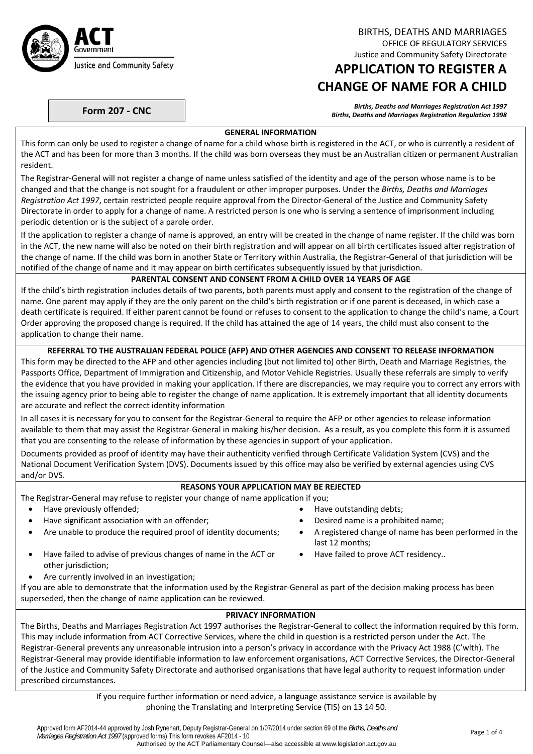

BIRTHS, DEATHS AND MARRIAGES OFFICE OF REGULATORY SERVICES Justice and Community Safety Directorate

# **APPLICATION TO REGISTER A CHANGE OF NAME FOR A CHILD**

Births, Deaths and Marriages Registration Act 1997<br>Births, Deaths and Marriages Registration Regulation 1998 (Births, Deaths and Marriages Registration Regulation

#### **GENERAL INFORMATION**

This form can only be used to register a change of name for a child whose birth is registered in the ACT, or who is currently a resident of the ACT and has been for more than 3 months. If the child was born overseas they must be an Australian citizen or permanent Australian resident.

The Registrar‐General will not register a change of name unless satisfied of the identity and age of the person whose name is to be changed and that the change is not sought for a fraudulent or other improper purposes. Under the *Births, Deaths and Marriages Registration Act 1997*, certain restricted people require approval from the Director‐General of the Justice and Community Safety Directorate in order to apply for a change of name. A restricted person is one who is serving a sentence of imprisonment including periodic detention or is the subject of a parole order.

If the application to register a change of name is approved, an entry will be created in the change of name register. If the child was born in the ACT, the new name will also be noted on their birth registration and will appear on all birth certificates issued after registration of the change of name. If the child was born in another State or Territory within Australia, the Registrar‐General of that jurisdiction will be notified of the change of name and it may appear on birth certificates subsequently issued by that jurisdiction.

#### **PARENTAL CONSENT AND CONSENT FROM A CHILD OVER 14 YEARS OF AGE**

If the child's birth registration includes details of two parents, both parents must apply and consent to the registration of the change of name. One parent may apply if they are the only parent on the child's birth registration or if one parent is deceased, in which case a death certificate is required. If either parent cannot be found or refuses to consent to the application to change the child's name, a Court Order approving the proposed change is required. If the child has attained the age of 14 years, the child must also consent to the application to change their name.

#### **REFERRAL TO THE AUSTRALIAN FEDERAL POLICE (AFP) AND OTHER AGENCIES AND CONSENT TO RELEASE INFORMATION**

This form may be directed to the AFP and other agencies including (but not limited to) other Birth, Death and Marriage Registries, the Passports Office, Department of Immigration and Citizenship, and Motor Vehicle Registries. Usually these referrals are simply to verify the evidence that you have provided in making your application. If there are discrepancies, we may require you to correct any errors with the issuing agency prior to being able to register the change of name application. It is extremely important that all identity documents are accurate and reflect the correct identity information

In all cases it is necessary for you to consent for the Registrar-General to require the AFP or other agencies to release information available to them that may assist the Registrar‐General in making his/her decision. As a result, as you complete this form it is assumed that you are consenting to the release of information by these agencies in support of your application.

Documents provided as proof of identity may have their authenticity verified through Certificate Validation System (CVS) and the National Document Verification System (DVS). Documents issued by this office may also be verified by external agencies using CVS and/or DVS.

# **REASONS YOUR APPLICATION MAY BE REJECTED**

The Registrar‐General may refuse to register your change of name application if you;

- Have previously offended;  $\bullet$  Have outstanding debts;
- Have significant association with an offender; **Desity and Secure 1** and Desired name is a prohibited name;
- Are unable to produce the required proof of identity documents; A registered change of name has been performed in the
- Have failed to advise of previous changes of name in the ACT or other jurisdiction;
- Are currently involved in an investigation;
- If you are able to demonstrate that the information used by the Registrar‐General as part of the decision making process has been superseded, then the change of name application can be reviewed.

#### **PRIVACY INFORMATION**

last 12 months;

Have failed to prove ACT residency..

The Births, Deaths and Marriages Registration Act 1997 authorises the Registrar‐General to collect the information required by this form. This may include information from ACT Corrective Services, where the child in question is a restricted person under the Act. The Registrar‐General prevents any unreasonable intrusion into a person's privacy in accordance with the Privacy Act 1988 (C'wlth). The Registrar‐General may provide identifiable information to law enforcement organisations, ACT Corrective Services, the Director‐General of the Justice and Community Safety Directorate and authorised organisations that have legal authority to request information under prescribed circumstances.

> If you require further information or need advice, a language assistance service is available by phoning the Translating and Interpreting Service (TIS) on 13 14 50.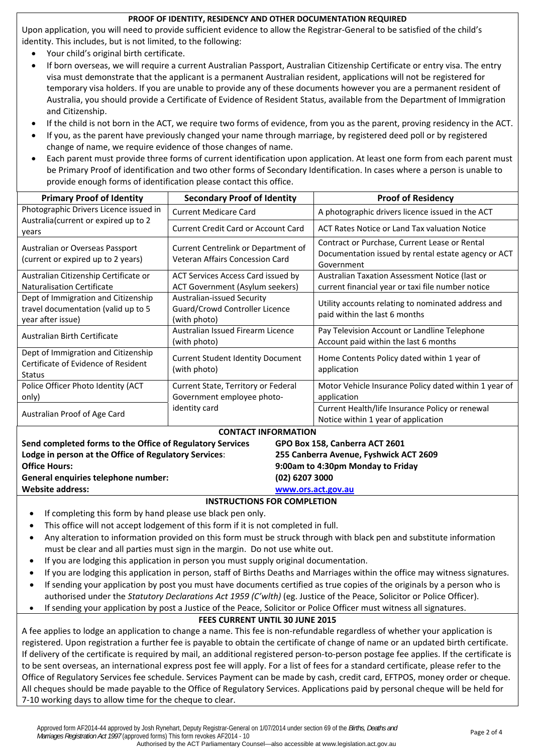#### **PROOF OF IDENTITY, RESIDENCY AND OTHER DOCUMENTATION REQUIRED**

Upon application, you will need to provide sufficient evidence to allow the Registrar‐General to be satisfied of the child's identity. This includes, but is not limited, to the following:

- Your child's original birth certificate.
- If born overseas, we will require a current Australian Passport, Australian Citizenship Certificate or entry visa. The entry visa must demonstrate that the applicant is a permanent Australian resident, applications will not be registered for temporary visa holders. If you are unable to provide any of these documents however you are a permanent resident of Australia, you should provide a Certificate of Evidence of Resident Status, available from the Department of Immigration and Citizenship.
- If the child is not born in the ACT, we require two forms of evidence, from you as the parent, proving residency in the ACT.
- If you, as the parent have previously changed your name through marriage, by registered deed poll or by registered change of name, we require evidence of those changes of name.
- Each parent must provide three forms of current identification upon application. At least one form from each parent must be Primary Proof of identification and two other forms of Secondary Identification. In cases where a person is unable to provide enough forms of identification please contact this office.

| <b>Primary Proof of Identity</b>                                                                                                                        | <b>Secondary Proof of Identity</b>                                           | <b>Proof of Residency</b>                                                                                          |  |  |  |  |
|---------------------------------------------------------------------------------------------------------------------------------------------------------|------------------------------------------------------------------------------|--------------------------------------------------------------------------------------------------------------------|--|--|--|--|
| Photographic Drivers Licence issued in                                                                                                                  | <b>Current Medicare Card</b>                                                 | A photographic drivers licence issued in the ACT                                                                   |  |  |  |  |
| Australia (current or expired up to 2<br>years                                                                                                          | <b>Current Credit Card or Account Card</b>                                   | ACT Rates Notice or Land Tax valuation Notice                                                                      |  |  |  |  |
| Australian or Overseas Passport<br>(current or expired up to 2 years)                                                                                   | Current Centrelink or Department of<br>Veteran Affairs Concession Card       | Contract or Purchase, Current Lease or Rental<br>Documentation issued by rental estate agency or ACT<br>Government |  |  |  |  |
| Australian Citizenship Certificate or<br>Naturalisation Certificate                                                                                     | ACT Services Access Card issued by<br><b>ACT Government (Asylum seekers)</b> | Australian Taxation Assessment Notice (last or<br>current financial year or taxi file number notice                |  |  |  |  |
| Dept of Immigration and Citizenship<br>travel documentation (valid up to 5<br>year after issue)                                                         | Australian-issued Security<br>Guard/Crowd Controller Licence<br>(with photo) | Utility accounts relating to nominated address and<br>paid within the last 6 months                                |  |  |  |  |
| Australian Birth Certificate                                                                                                                            | Australian Issued Firearm Licence<br>(with photo)                            | Pay Television Account or Landline Telephone<br>Account paid within the last 6 months                              |  |  |  |  |
| Dept of Immigration and Citizenship<br><b>Current Student Identity Document</b><br>Certificate of Evidence of Resident<br>(with photo)<br><b>Status</b> |                                                                              | Home Contents Policy dated within 1 year of<br>application                                                         |  |  |  |  |
| Police Officer Photo Identity (ACT<br>only)                                                                                                             | Current State, Territory or Federal<br>Government employee photo-            | Motor Vehicle Insurance Policy dated within 1 year of<br>application                                               |  |  |  |  |
| Australian Proof of Age Card                                                                                                                            | identity card                                                                | Current Health/life Insurance Policy or renewal<br>Notice within 1 year of application                             |  |  |  |  |
|                                                                                                                                                         | <b>CONTACT INFORMATION</b>                                                   |                                                                                                                    |  |  |  |  |
| Send completed forms to the Office of Regulatory Services                                                                                               | GPO Box 158, Canberra ACT 2601                                               |                                                                                                                    |  |  |  |  |
| Lodge in person at the Office of Regulatory Services:                                                                                                   |                                                                              | 255 Canberra Avenue, Fyshwick ACT 2609                                                                             |  |  |  |  |
| <b>Office Hours:</b>                                                                                                                                    |                                                                              | 9:00am to 4:30pm Monday to Friday                                                                                  |  |  |  |  |
| General enquiries telephone number:                                                                                                                     | (02) 6207 3000                                                               |                                                                                                                    |  |  |  |  |
| <b>Website address:</b>                                                                                                                                 |                                                                              | www.ors.act.gov.au                                                                                                 |  |  |  |  |

#### **INSTRUCTIONS FOR COMPLETION**

- If completing this form by hand please use black pen only.
- This office will not accept lodgement of this form if it is not completed in full.
- Any alteration to information provided on this form must be struck through with black pen and substitute information must be clear and all parties must sign in the margin. Do not use white out.
- If you are lodging this application in person you must supply original documentation.
- If you are lodging this application in person, staff of Births Deaths and Marriages within the office may witness signatures.
- If sending your application by post you must have documents certified as true copies of the originals by a person who is authorised under the *Statutory Declarations Act 1959 (C'wlth)* (eg. Justice of the Peace, Solicitor or Police Officer).
- If sending your application by post a Justice of the Peace, Solicitor or Police Officer must witness all signatures.

## **FEES CURRENT UNTIL 30 JUNE 2015**

A fee applies to lodge an application to change a name. This fee is non‐refundable regardless of whether your application is registered. Upon registration a further fee is payable to obtain the certificate of change of name or an updated birth certificate. If delivery of the certificate is required by mail, an additional registered person‐to‐person postage fee applies. If the certificate is to be sent overseas, an international express post fee will apply. For a list of fees for a standard certificate, please refer to the Office of Regulatory Services fee schedule. Services Payment can be made by cash, credit card, EFTPOS, money order or cheque. All cheques should be made payable to the Office of Regulatory Services. Applications paid by personal cheque will be held for 7‐10 working days to allow time for the cheque to clear.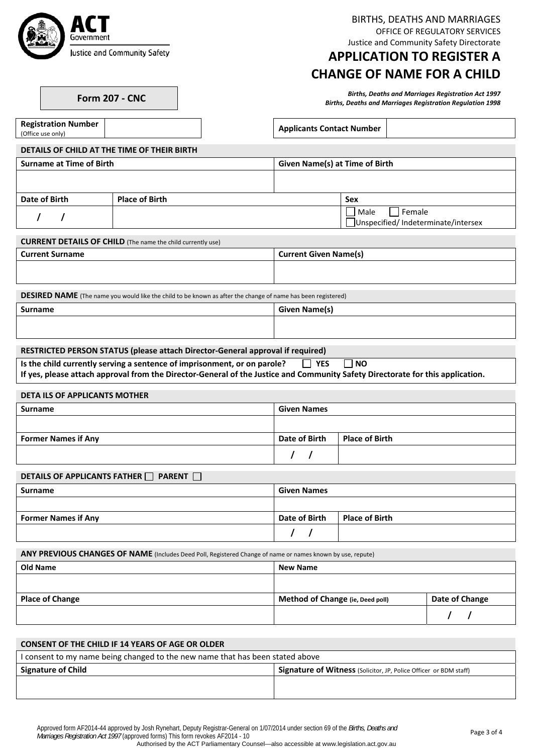

**Registration Number**

BIRTHS, DEATHS AND MARRIAGES OFFICE OF REGULATORY SERVICES Justice and Community Safety Directorate

# **APPLICATION TO REGISTER A CHANGE OF NAME FOR A CHILD**

Births, Deaths and Marriages Registration Act 1997<br>Births, Deaths and Marriages Registration Regulation 1998 (Births, Deaths and Marriages Registration Regulation

**Applicants Contact Number** 

**DETAILS OF CHILD AT THE TIME OF THEIR BIRTH**

| <b>Surname at Time of Birth</b> | Given Name(s) at Time of Birth |
|---------------------------------|--------------------------------|
|                                 |                                |
|                                 |                                |

| Date of Birth | <b>Place of Birth</b> | <b>Sex</b>                         |
|---------------|-----------------------|------------------------------------|
|               |                       | Male<br>Female                     |
|               |                       | Unspecified/Indeterminate/intersex |

| <b>CURRENT DETAILS OF CHILD</b> (The name the child currently use) |  |
|--------------------------------------------------------------------|--|
|                                                                    |  |

| <b>Current Surname</b> | <b>Current Given Name(s)</b> |
|------------------------|------------------------------|
|                        |                              |
|                        |                              |

**DESIRED NAME** (The name you would like the child to be known as after the change of name has been registered)

| Surname | <b>Given Name(s)</b> |
|---------|----------------------|
|         |                      |
|         |                      |

#### **RESTRICTED PERSON STATUS (please attach Director‐General approval if required)**

|  | Is the child currently serving a sentence of imprisonment, or on parole? $\Box$ YES $\Box$ NO |  |  |  |
|--|-----------------------------------------------------------------------------------------------|--|--|--|
|--|-----------------------------------------------------------------------------------------------|--|--|--|

If yes, please attach approval from the Director-General of the Justice and Community Safety Directorate for this application.

#### **DETA ILS OF APPLICANTS MOTHER**

| Surname                    | <b>Given Names</b>   |                |
|----------------------------|----------------------|----------------|
|                            |                      |                |
| <b>Former Names if Any</b> | <b>Date of Birth</b> | Place of Birth |
|                            |                      |                |

### **DETAILS OF APPLICANTS FATHER PARENT**

| Surname                    | <b>Given Names</b> |                       |
|----------------------------|--------------------|-----------------------|
|                            |                    |                       |
| <b>Former Names if Any</b> | Date of Birth      | <b>Place of Birth</b> |
|                            |                    |                       |

**ANY PREVIOUS CHANGES OF NAME** (Includes Deed Poll, Registered Change of name or names known by use, repute)

| <b>Old Name</b>        | <b>New Name</b>                  |                |
|------------------------|----------------------------------|----------------|
|                        |                                  |                |
| <b>Place of Change</b> | Method of Change (ie, Deed poll) | Date of Change |
|                        |                                  |                |

| <b>CONSENT OF THE CHILD IF 14 YEARS OF AGE OR OLDER</b>                       |                                                                          |  |  |  |  |
|-------------------------------------------------------------------------------|--------------------------------------------------------------------------|--|--|--|--|
| I consent to my name being changed to the new name that has been stated above |                                                                          |  |  |  |  |
| <b>Signature of Child</b>                                                     | <b>Signature of Witness</b> (Solicitor, JP, Police Officer or BDM staff) |  |  |  |  |
|                                                                               |                                                                          |  |  |  |  |
|                                                                               |                                                                          |  |  |  |  |